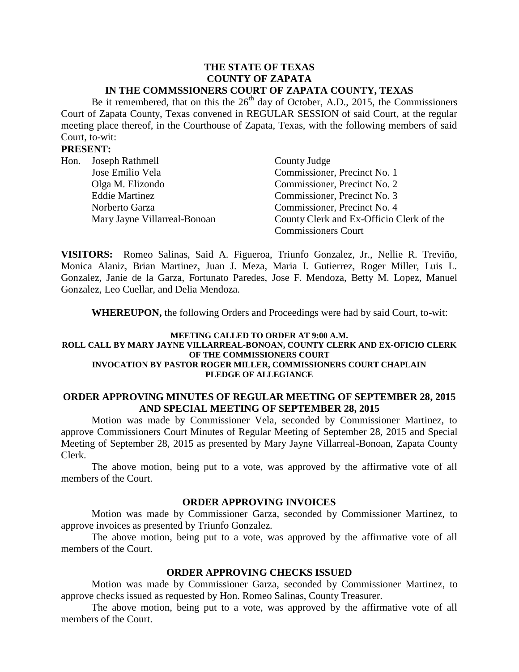#### **THE STATE OF TEXAS COUNTY OF ZAPATA IN THE COMMSSIONERS COURT OF ZAPATA COUNTY, TEXAS**

Be it remembered, that on this the  $26<sup>th</sup>$  day of October, A.D., 2015, the Commissioners Court of Zapata County, Texas convened in REGULAR SESSION of said Court, at the regular meeting place thereof, in the Courthouse of Zapata, Texas, with the following members of said Court, to-wit:

### **PRESENT:**

| Hon. | Joseph Rathmell              | County Judge                             |
|------|------------------------------|------------------------------------------|
|      | Jose Emilio Vela             | Commissioner, Precinct No. 1             |
|      | Olga M. Elizondo             | Commissioner, Precinct No. 2             |
|      | <b>Eddie Martinez</b>        | Commissioner, Precinct No. 3             |
|      | Norberto Garza               | Commissioner, Precinct No. 4             |
|      | Mary Jayne Villarreal-Bonoan | County Clerk and Ex-Officio Clerk of the |
|      |                              | <b>Commissioners Court</b>               |

**VISITORS:** Romeo Salinas, Said A. Figueroa, Triunfo Gonzalez, Jr., Nellie R. Treviño, Monica Alaniz, Brian Martinez, Juan J. Meza, Maria I. Gutierrez, Roger Miller, Luis L. Gonzalez, Janie de la Garza, Fortunato Paredes, Jose F. Mendoza, Betty M. Lopez, Manuel Gonzalez, Leo Cuellar, and Delia Mendoza.

**WHEREUPON,** the following Orders and Proceedings were had by said Court, to-wit:

#### **MEETING CALLED TO ORDER AT 9:00 A.M. ROLL CALL BY MARY JAYNE VILLARREAL-BONOAN, COUNTY CLERK AND EX-OFICIO CLERK OF THE COMMISSIONERS COURT INVOCATION BY PASTOR ROGER MILLER, COMMISSIONERS COURT CHAPLAIN PLEDGE OF ALLEGIANCE**

### **ORDER APPROVING MINUTES OF REGULAR MEETING OF SEPTEMBER 28, 2015 AND SPECIAL MEETING OF SEPTEMBER 28, 2015**

Motion was made by Commissioner Vela, seconded by Commissioner Martinez, to approve Commissioners Court Minutes of Regular Meeting of September 28, 2015 and Special Meeting of September 28, 2015 as presented by Mary Jayne Villarreal-Bonoan, Zapata County Clerk.

The above motion, being put to a vote, was approved by the affirmative vote of all members of the Court.

#### **ORDER APPROVING INVOICES**

Motion was made by Commissioner Garza, seconded by Commissioner Martinez, to approve invoices as presented by Triunfo Gonzalez.

The above motion, being put to a vote, was approved by the affirmative vote of all members of the Court.

### **ORDER APPROVING CHECKS ISSUED**

Motion was made by Commissioner Garza, seconded by Commissioner Martinez, to approve checks issued as requested by Hon. Romeo Salinas, County Treasurer.

The above motion, being put to a vote, was approved by the affirmative vote of all members of the Court.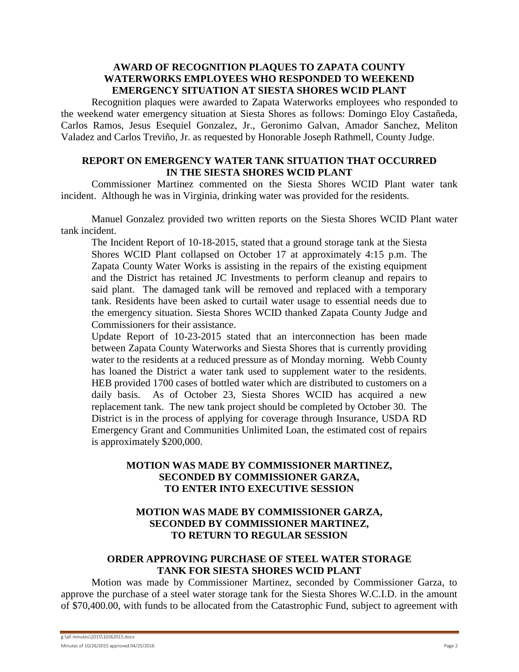### **AWARD OF RECOGNITION PLAQUES TO ZAPATA COUNTY WATERWORKS EMPLOYEES WHO RESPONDED TO WEEKEND EMERGENCY SITUATION AT SIESTA SHORES WCID PLANT**

Recognition plaques were awarded to Zapata Waterworks employees who responded to the weekend water emergency situation at Siesta Shores as follows: Domingo Eloy Castañeda, Carlos Ramos, Jesus Esequiel Gonzalez, Jr., Geronimo Galvan, Amador Sanchez, Meliton Valadez and Carlos Treviño, Jr. as requested by Honorable Joseph Rathmell, County Judge.

### **REPORT ON EMERGENCY WATER TANK SITUATION THAT OCCURRED IN THE SIESTA SHORES WCID PLANT**

Commissioner Martinez commented on the Siesta Shores WCID Plant water tank incident. Although he was in Virginia, drinking water was provided for the residents.

Manuel Gonzalez provided two written reports on the Siesta Shores WCID Plant water tank incident.

The Incident Report of 10-18-2015, stated that a ground storage tank at the Siesta Shores WCID Plant collapsed on October 17 at approximately 4:15 p.m. The Zapata County Water Works is assisting in the repairs of the existing equipment and the District has retained JC Investments to perform cleanup and repairs to said plant. The damaged tank will be removed and replaced with a temporary tank. Residents have been asked to curtail water usage to essential needs due to the emergency situation. Siesta Shores WCID thanked Zapata County Judge and Commissioners for their assistance.

Update Report of 10-23-2015 stated that an interconnection has been made between Zapata County Waterworks and Siesta Shores that is currently providing water to the residents at a reduced pressure as of Monday morning. Webb County has loaned the District a water tank used to supplement water to the residents. HEB provided 1700 cases of bottled water which are distributed to customers on a daily basis. As of October 23, Siesta Shores WCID has acquired a new replacement tank. The new tank project should be completed by October 30. The District is in the process of applying for coverage through Insurance, USDA RD Emergency Grant and Communities Unlimited Loan, the estimated cost of repairs is approximately \$200,000.

# **MOTION WAS MADE BY COMMISSIONER MARTINEZ, SECONDED BY COMMISSIONER GARZA, TO ENTER INTO EXECUTIVE SESSION**

# **MOTION WAS MADE BY COMMISSIONER GARZA, SECONDED BY COMMISSIONER MARTINEZ, TO RETURN TO REGULAR SESSION**

# **ORDER APPROVING PURCHASE OF STEEL WATER STORAGE TANK FOR SIESTA SHORES WCID PLANT**

Motion was made by Commissioner Martinez, seconded by Commissioner Garza, to approve the purchase of a steel water storage tank for the Siesta Shores W.C.I.D. in the amount of \$70,400.00, with funds to be allocated from the Catastrophic Fund, subject to agreement with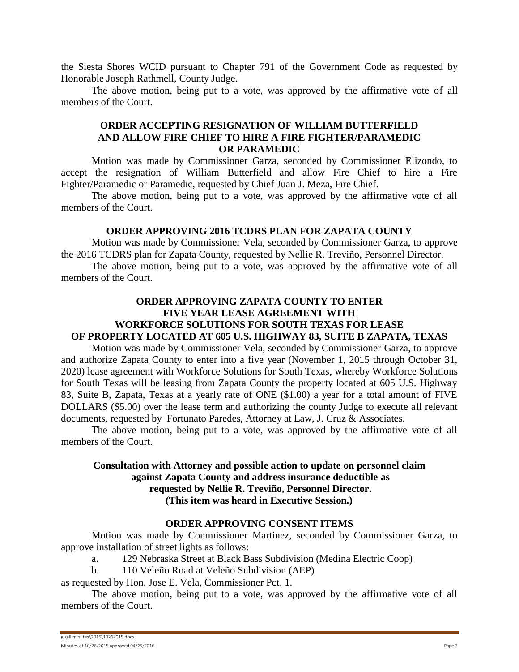the Siesta Shores WCID pursuant to Chapter 791 of the Government Code as requested by Honorable Joseph Rathmell, County Judge.

The above motion, being put to a vote, was approved by the affirmative vote of all members of the Court.

### **ORDER ACCEPTING RESIGNATION OF WILLIAM BUTTERFIELD AND ALLOW FIRE CHIEF TO HIRE A FIRE FIGHTER/PARAMEDIC OR PARAMEDIC**

Motion was made by Commissioner Garza, seconded by Commissioner Elizondo, to accept the resignation of William Butterfield and allow Fire Chief to hire a Fire Fighter/Paramedic or Paramedic, requested by Chief Juan J. Meza, Fire Chief.

The above motion, being put to a vote, was approved by the affirmative vote of all members of the Court.

#### **ORDER APPROVING 2016 TCDRS PLAN FOR ZAPATA COUNTY**

Motion was made by Commissioner Vela, seconded by Commissioner Garza, to approve the 2016 TCDRS plan for Zapata County, requested by Nellie R. Treviño, Personnel Director.

The above motion, being put to a vote, was approved by the affirmative vote of all members of the Court.

# **ORDER APPROVING ZAPATA COUNTY TO ENTER FIVE YEAR LEASE AGREEMENT WITH WORKFORCE SOLUTIONS FOR SOUTH TEXAS FOR LEASE OF PROPERTY LOCATED AT 605 U.S. HIGHWAY 83, SUITE B ZAPATA, TEXAS**

Motion was made by Commissioner Vela, seconded by Commissioner Garza, to approve and authorize Zapata County to enter into a five year (November 1, 2015 through October 31, 2020) lease agreement with Workforce Solutions for South Texas, whereby Workforce Solutions for South Texas will be leasing from Zapata County the property located at 605 U.S. Highway 83, Suite B, Zapata, Texas at a yearly rate of ONE (\$1.00) a year for a total amount of FIVE DOLLARS (\$5.00) over the lease term and authorizing the county Judge to execute all relevant documents, requested by Fortunato Paredes, Attorney at Law, J. Cruz & Associates.

The above motion, being put to a vote, was approved by the affirmative vote of all members of the Court.

### **Consultation with Attorney and possible action to update on personnel claim against Zapata County and address insurance deductible as requested by Nellie R. Treviño, Personnel Director. (This item was heard in Executive Session.)**

### **ORDER APPROVING CONSENT ITEMS**

Motion was made by Commissioner Martinez, seconded by Commissioner Garza, to approve installation of street lights as follows:

- a. 129 Nebraska Street at Black Bass Subdivision (Medina Electric Coop)
- b. 110 Veleño Road at Veleño Subdivision (AEP)

as requested by Hon. Jose E. Vela, Commissioner Pct. 1.

The above motion, being put to a vote, was approved by the affirmative vote of all members of the Court.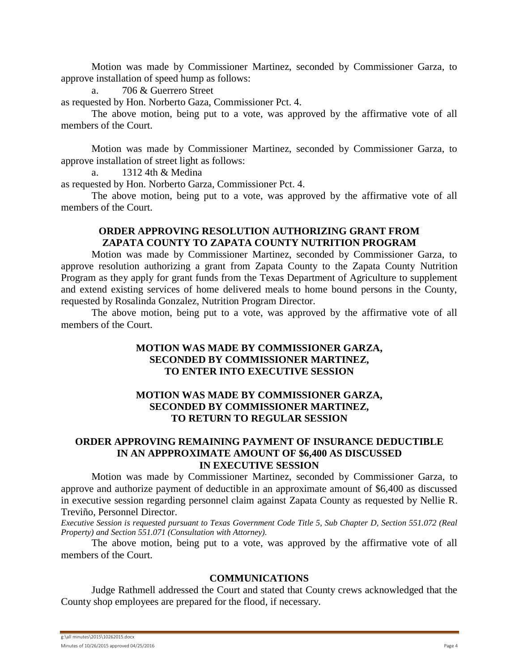Motion was made by Commissioner Martinez, seconded by Commissioner Garza, to approve installation of speed hump as follows:

a. 706 & Guerrero Street

as requested by Hon. Norberto Gaza, Commissioner Pct. 4.

The above motion, being put to a vote, was approved by the affirmative vote of all members of the Court.

Motion was made by Commissioner Martinez, seconded by Commissioner Garza, to approve installation of street light as follows:

a. 1312 4th & Medina

as requested by Hon. Norberto Garza, Commissioner Pct. 4.

The above motion, being put to a vote, was approved by the affirmative vote of all members of the Court.

# **ORDER APPROVING RESOLUTION AUTHORIZING GRANT FROM ZAPATA COUNTY TO ZAPATA COUNTY NUTRITION PROGRAM**

Motion was made by Commissioner Martinez, seconded by Commissioner Garza, to approve resolution authorizing a grant from Zapata County to the Zapata County Nutrition Program as they apply for grant funds from the Texas Department of Agriculture to supplement and extend existing services of home delivered meals to home bound persons in the County, requested by Rosalinda Gonzalez, Nutrition Program Director.

The above motion, being put to a vote, was approved by the affirmative vote of all members of the Court.

### **MOTION WAS MADE BY COMMISSIONER GARZA, SECONDED BY COMMISSIONER MARTINEZ, TO ENTER INTO EXECUTIVE SESSION**

## **MOTION WAS MADE BY COMMISSIONER GARZA, SECONDED BY COMMISSIONER MARTINEZ, TO RETURN TO REGULAR SESSION**

### **ORDER APPROVING REMAINING PAYMENT OF INSURANCE DEDUCTIBLE IN AN APPPROXIMATE AMOUNT OF \$6,400 AS DISCUSSED IN EXECUTIVE SESSION**

Motion was made by Commissioner Martinez, seconded by Commissioner Garza, to approve and authorize payment of deductible in an approximate amount of \$6,400 as discussed in executive session regarding personnel claim against Zapata County as requested by Nellie R. Treviño, Personnel Director.

*Executive Session is requested pursuant to Texas Government Code Title 5, Sub Chapter D, Section 551.072 (Real Property) and Section 551.071 (Consultation with Attorney).*

The above motion, being put to a vote, was approved by the affirmative vote of all members of the Court.

#### **COMMUNICATIONS**

Judge Rathmell addressed the Court and stated that County crews acknowledged that the County shop employees are prepared for the flood, if necessary.